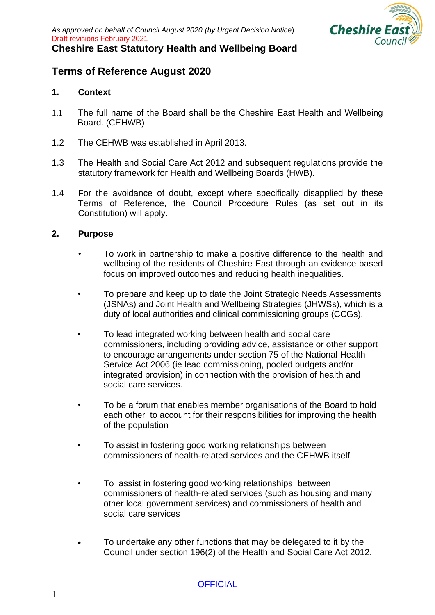

### **Terms of Reference August 2020**

#### **1. Context**

- 1.1 The full name of the Board shall be the Cheshire East Health and Wellbeing Board. (CEHWB)
- 1.2 The CEHWB was established in April 2013.
- 1.3 The Health and Social Care Act 2012 and subsequent regulations provide the statutory framework for Health and Wellbeing Boards (HWB).
- 1.4 For the avoidance of doubt, except where specifically disapplied by these Terms of Reference, the Council Procedure Rules (as set out in its Constitution) will apply.

#### **2. Purpose**

- To work in partnership to make a positive difference to the health and wellbeing of the residents of Cheshire East through an evidence based focus on improved outcomes and reducing health inequalities.
- To prepare and keep up to date the Joint Strategic Needs Assessments (JSNAs) and Joint Health and Wellbeing Strategies (JHWSs), which is a duty of local authorities and clinical commissioning groups (CCGs).
- To lead integrated working between health and social care commissioners, including providing advice, assistance or other support to encourage arrangements under section 75 of the National Health Service Act 2006 (ie lead commissioning, pooled budgets and/or integrated provision) in connection with the provision of health and social care services.
- To be a forum that enables member organisations of the Board to hold each other to account for their responsibilities for improving the health of the population
- To assist in fostering good working relationships between commissioners of health-related services and the CEHWB itself.
- To assist in fostering good working relationships between commissioners of health-related services (such as housing and many other local government services) and commissioners of health and social care services
- To undertake any other functions that may be delegated to it by the Council under section 196(2) of the Health and Social Care Act 2012.

#### **OFFICIAL**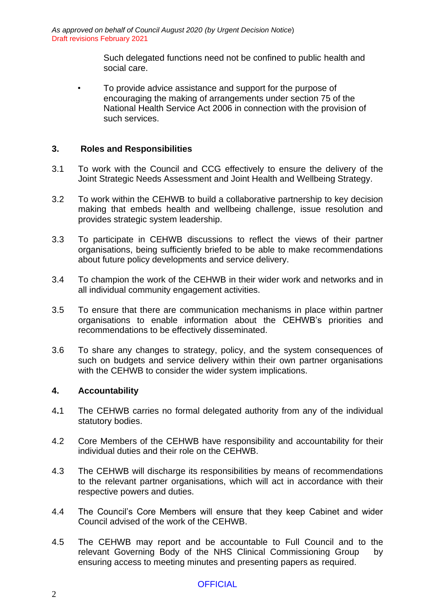> Such delegated functions need not be confined to public health and social care.

• To provide advice assistance and support for the purpose of encouraging the making of arrangements under section 75 of the National Health Service Act 2006 in connection with the provision of such services.

#### **3. Roles and Responsibilities**

- 3.1 To work with the Council and CCG effectively to ensure the delivery of the Joint Strategic Needs Assessment and Joint Health and Wellbeing Strategy.
- 3.2 To work within the CEHWB to build a collaborative partnership to key decision making that embeds health and wellbeing challenge, issue resolution and provides strategic system leadership.
- 3.3 To participate in CEHWB discussions to reflect the views of their partner organisations, being sufficiently briefed to be able to make recommendations about future policy developments and service delivery.
- 3.4 To champion the work of the CEHWB in their wider work and networks and in all individual community engagement activities.
- 3.5 To ensure that there are communication mechanisms in place within partner organisations to enable information about the CEHWB's priorities and recommendations to be effectively disseminated.
- 3.6 To share any changes to strategy, policy, and the system consequences of such on budgets and service delivery within their own partner organisations with the CEHWB to consider the wider system implications.

#### **4. Accountability**

- 4**.**1 The CEHWB carries no formal delegated authority from any of the individual statutory bodies.
- 4.2 Core Members of the CEHWB have responsibility and accountability for their individual duties and their role on the CEHWB.
- 4.3 The CEHWB will discharge its responsibilities by means of recommendations to the relevant partner organisations, which will act in accordance with their respective powers and duties.
- 4.4 The Council's Core Members will ensure that they keep Cabinet and wider Council advised of the work of the CEHWB.
- 4.5 The CEHWB may report and be accountable to Full Council and to the relevant Governing Body of the NHS Clinical Commissioning Group by ensuring access to meeting minutes and presenting papers as required.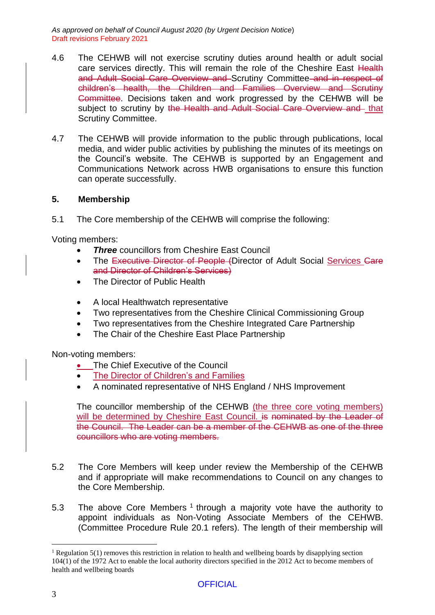- 4.6 The CEHWB will not exercise scrutiny duties around health or adult social care services directly. This will remain the role of the Cheshire East Health and Adult Social Care Overview and Scrutiny Committee and in respect of children's health, the Children and Families Overview and Scrutiny Committee. Decisions taken and work progressed by the CEHWB will be subject to scrutiny by the Health and Adult Social Care Overview and that Scrutiny Committee.
- 4.7 The CEHWB will provide information to the public through publications, local media, and wider public activities by publishing the minutes of its meetings on the Council's website. The CEHWB is supported by an Engagement and Communications Network across HWB organisations to ensure this function can operate successfully.

#### **5. Membership**

5.1 The Core membership of the CEHWB will comprise the following:

Voting members:

- *Three* councillors from Cheshire East Council
- The Executive Director of People (Director of Adult Social Services Care and Director of Children's Services)
- The Director of Public Health
- A local Healthwatch representative
- Two representatives from the Cheshire Clinical Commissioning Group
- Two representatives from the Cheshire Integrated Care Partnership
- The Chair of the Cheshire East Place Partnership

Non-voting members:

- The Chief Executive of the Council
- The Director of Children's and Families
- A nominated representative of NHS England / NHS Improvement

The councillor membership of the CEHWB (the three core voting members) will be determined by Cheshire East Council. is nominated by the Leader of the Council. The Leader can be a member of the CEHWB as one of the three councillors who are voting members.

- 5.2 The Core Members will keep under review the Membership of the CEHWB and if appropriate will make recommendations to Council on any changes to the Core Membership.
- 5.3 The above Core Members  $1$  through a majority vote have the authority to appoint individuals as Non-Voting Associate Members of the CEHWB. (Committee Procedure Rule 20.1 refers). The length of their membership will

<sup>&</sup>lt;sup>1</sup> Regulation 5(1) removes this restriction in relation to health and wellbeing boards by disapplying section 104(1) of the 1972 Act to enable the local authority directors specified in the 2012 Act to become members of health and wellbeing boards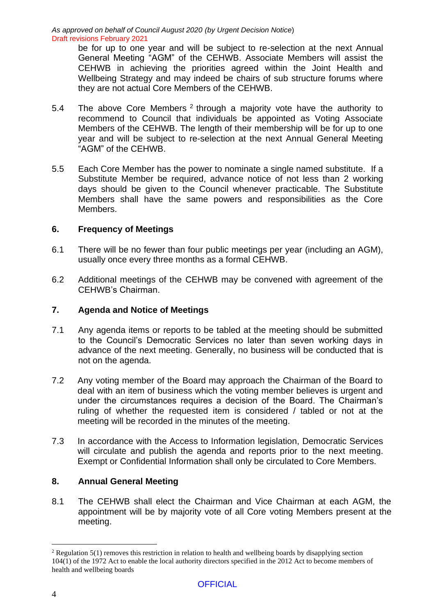> be for up to one year and will be subject to re-selection at the next Annual General Meeting "AGM" of the CEHWB. Associate Members will assist the CEHWB in achieving the priorities agreed within the Joint Health and Wellbeing Strategy and may indeed be chairs of sub structure forums where they are not actual Core Members of the CEHWB.

- 5.4 The above Core Members  $2$  through a majority vote have the authority to recommend to Council that individuals be appointed as Voting Associate Members of the CEHWB. The length of their membership will be for up to one year and will be subject to re-selection at the next Annual General Meeting "AGM" of the CEHWB.
- 5.5 Each Core Member has the power to nominate a single named substitute. If a Substitute Member be required, advance notice of not less than 2 working days should be given to the Council whenever practicable. The Substitute Members shall have the same powers and responsibilities as the Core Members.

#### **6. Frequency of Meetings**

- 6.1 There will be no fewer than four public meetings per year (including an AGM), usually once every three months as a formal CEHWB.
- 6.2 Additional meetings of the CEHWB may be convened with agreement of the CEHWB's Chairman.

#### **7. Agenda and Notice of Meetings**

- 7.1 Any agenda items or reports to be tabled at the meeting should be submitted to the Council's Democratic Services no later than seven working days in advance of the next meeting. Generally, no business will be conducted that is not on the agenda.
- 7.2 Any voting member of the Board may approach the Chairman of the Board to deal with an item of business which the voting member believes is urgent and under the circumstances requires a decision of the Board. The Chairman's ruling of whether the requested item is considered / tabled or not at the meeting will be recorded in the minutes of the meeting.
- 7.3 In accordance with the Access to Information legislation, Democratic Services will circulate and publish the agenda and reports prior to the next meeting. Exempt or Confidential Information shall only be circulated to Core Members.

#### **8. Annual General Meeting**

8.1 The CEHWB shall elect the Chairman and Vice Chairman at each AGM, the appointment will be by majority vote of all Core voting Members present at the meeting.

<sup>&</sup>lt;sup>2</sup> Regulation 5(1) removes this restriction in relation to health and wellbeing boards by disapplying section 104(1) of the 1972 Act to enable the local authority directors specified in the 2012 Act to become members of health and wellbeing boards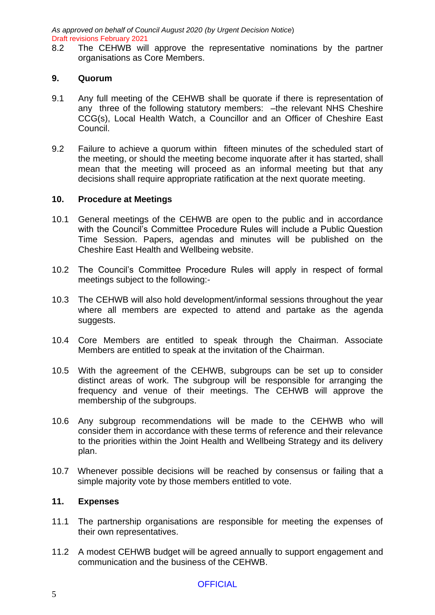8.2 The CEHWB will approve the representative nominations by the partner organisations as Core Members.

#### **9. Quorum**

- 9.1 Any full meeting of the CEHWB shall be quorate if there is representation of any three of the following statutory members: –the relevant NHS Cheshire CCG(s), Local Health Watch, a Councillor and an Officer of Cheshire East Council.
- 9.2 Failure to achieve a quorum within fifteen minutes of the scheduled start of the meeting, or should the meeting become inquorate after it has started, shall mean that the meeting will proceed as an informal meeting but that any decisions shall require appropriate ratification at the next quorate meeting.

#### **10. Procedure at Meetings**

- 10.1 General meetings of the CEHWB are open to the public and in accordance with the Council's Committee Procedure Rules will include a Public Question Time Session. Papers, agendas and minutes will be published on the Cheshire East Health and Wellbeing website.
- 10.2 The Council's Committee Procedure Rules will apply in respect of formal meetings subject to the following:-
- 10.3 The CEHWB will also hold development/informal sessions throughout the year where all members are expected to attend and partake as the agenda suggests.
- 10.4 Core Members are entitled to speak through the Chairman. Associate Members are entitled to speak at the invitation of the Chairman.
- 10.5 With the agreement of the CEHWB, subgroups can be set up to consider distinct areas of work. The subgroup will be responsible for arranging the frequency and venue of their meetings. The CEHWB will approve the membership of the subgroups.
- 10.6 Any subgroup recommendations will be made to the CEHWB who will consider them in accordance with these terms of reference and their relevance to the priorities within the Joint Health and Wellbeing Strategy and its delivery plan.
- 10.7 Whenever possible decisions will be reached by consensus or failing that a simple majority vote by those members entitled to vote.

#### **11. Expenses**

- 11.1 The partnership organisations are responsible for meeting the expenses of their own representatives.
- 11.2 A modest CEHWB budget will be agreed annually to support engagement and communication and the business of the CEHWB.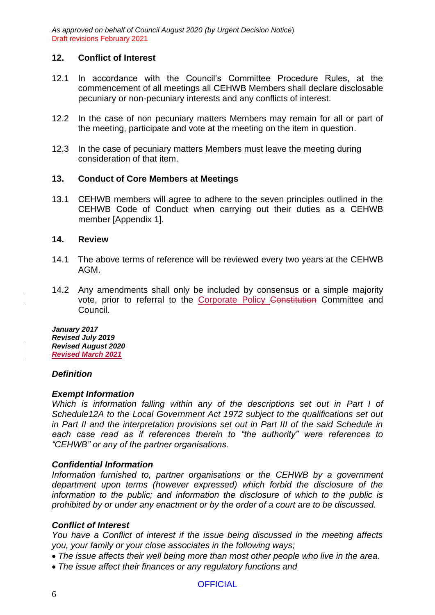#### **12. Conflict of Interest**

- 12.1 In accordance with the Council's Committee Procedure Rules, at the commencement of all meetings all CEHWB Members shall declare disclosable pecuniary or non-pecuniary interests and any conflicts of interest.
- 12.2 In the case of non pecuniary matters Members may remain for all or part of the meeting, participate and vote at the meeting on the item in question.
- 12.3 In the case of pecuniary matters Members must leave the meeting during consideration of that item.

#### **13. Conduct of Core Members at Meetings**

13.1 CEHWB members will agree to adhere to the seven principles outlined in the CEHWB Code of Conduct when carrying out their duties as a CEHWB member [Appendix 1].

#### **14. Review**

- 14.1 The above terms of reference will be reviewed every two years at the CEHWB AGM.
- 14.2 Any amendments shall only be included by consensus or a simple majority vote, prior to referral to the Corporate Policy Constitution Committee and Council.

*January 2017 Revised July 2019 Revised August 2020 Revised March 2021*

#### *Definition*

#### *Exempt Information*

*Which is information falling within any of the descriptions set out in Part I of Schedule12A to the Local Government Act 1972 subject to the qualifications set out in Part II and the interpretation provisions set out in Part III of the said Schedule in each case read as if references therein to "the authority" were references to "CEHWB" or any of the partner organisations.*

#### *Confidential Information*

*Information furnished to, partner organisations or the CEHWB by a government department upon terms (however expressed) which forbid the disclosure of the information to the public; and information the disclosure of which to the public is prohibited by or under any enactment or by the order of a court are to be discussed.*

#### *Conflict of Interest*

*You have a Conflict of interest if the issue being discussed in the meeting affects you, your family or your close associates in the following ways;*

- *The issue affects their well being more than most other people who live in the area.*
- *The issue affect their finances or any regulatory functions and*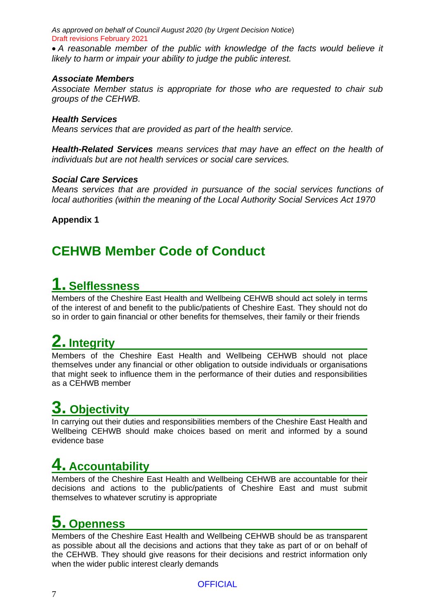• *A reasonable member of the public with knowledge of the facts would believe it likely to harm or impair your ability to judge the public interest.*

#### *Associate Members*

*Associate Member status is appropriate for those who are requested to chair sub groups of the CEHWB.* 

#### *Health Services*

*Means services that are provided as part of the health service.*

*Health-Related Services means services that may have an effect on the health of individuals but are not health services or social care services.*

#### *Social Care Services*

*Means services that are provided in pursuance of the social services functions of local authorities (within the meaning of the Local Authority Social Services Act 1970*

**Appendix 1**

### **CEHWB Member Code of Conduct**

### **1. Selflessness**

Members of the Cheshire East Health and Wellbeing CEHWB should act solely in terms of the interest of and benefit to the public/patients of Cheshire East. They should not do so in order to gain financial or other benefits for themselves, their family or their friends

# **2. Integrity**

Members of the Cheshire East Health and Wellbeing CEHWB should not place themselves under any financial or other obligation to outside individuals or organisations that might seek to influence them in the performance of their duties and responsibilities as a CEHWB member

## **3. Objectivity**

In carrying out their duties and responsibilities members of the Cheshire East Health and Wellbeing CEHWB should make choices based on merit and informed by a sound evidence base

## **4. Accountability**

Members of the Cheshire East Health and Wellbeing CEHWB are accountable for their decisions and actions to the public/patients of Cheshire East and must submit themselves to whatever scrutiny is appropriate

## **5. Openness**

Members of the Cheshire East Health and Wellbeing CEHWB should be as transparent as possible about all the decisions and actions that they take as part of or on behalf of the CEHWB. They should give reasons for their decisions and restrict information only when the wider public interest clearly demands